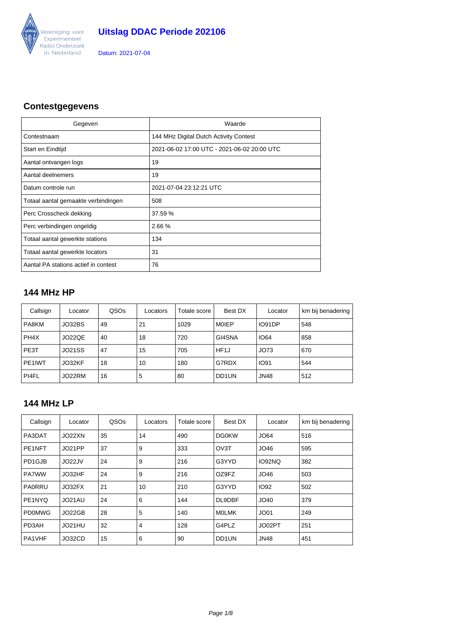

### **Contestgegevens**

| Gegeven                              | Waarde                                      |
|--------------------------------------|---------------------------------------------|
| Contestnaam                          | 144 MHz Digital Dutch Activity Contest      |
| Start en Eindtijd                    | 2021-06-02 17:00 UTC - 2021-06-02 20:00 UTC |
| Aantal ontvangen logs                | 19                                          |
| Aantal deelnemers                    | 19                                          |
| Datum controle run                   | 2021-07-04 23:12:21 UTC                     |
| Totaal aantal gemaakte verbindingen  | 508                                         |
| Perc Crosscheck dekking              | 37.59 %                                     |
| Perc verbindingen ongeldig           | 2.66 %                                      |
| Totaal aantal gewerkte stations      | 134                                         |
| Totaal aantal gewerkte locators      | 31                                          |
| Aantal PA stations actief in contest | 76                                          |

### **144 MHz HP**

| Callsign            | Locator | QSOs | Locators | Totale score | Best DX           | Locator     | km bij benadering |
|---------------------|---------|------|----------|--------------|-------------------|-------------|-------------------|
| PA8KM               | JO32BS  | 49   | 21       | 1029         | MOIEP             | IO91DP      | 548               |
| PH <sub>4</sub> X   | JO22QE  | 40   | 18       | 720          | GI4SNA            | <b>IO64</b> | 858               |
| PE3T                | JO21SS  | 47   | 15       | 705          | HF <sub>1</sub> J | JO73        | 670               |
| PE <sub>1</sub> IWT | JO32KF  | 18   | 10       | 180          | G7RDX             | <b>IO91</b> | 544               |
| PI4FL               | JO22RM  | 16   | 5        | 80           | DD1UN             | <b>JN48</b> | 512               |

#### **144 MHz LP**

| Callsign            | Locator | QSOs | Locators       | Totale score | Best DX      | Locator          | km bij benadering |
|---------------------|---------|------|----------------|--------------|--------------|------------------|-------------------|
| <b>PA3DAT</b>       | JO22XN  | 35   | 14             | 490          | <b>DG0KW</b> | JO64             | 516               |
| PE <sub>1</sub> NFT | JO21PP  | 37   | 9              | 333          | OV3T         | JO46             | 595               |
| PD1GJB              | JO22JV  | 24   | 9              | 216          | G3YYD        | IO92NQ           | 382               |
| PA7WW               | JO32HF  | 24   | 9              | 216          | OZ9FZ        | JO46             | 503               |
| PA0RRU              | JO32FX  | 21   | 10             | 210          | G3YYD        | <b>IO92</b>      | 502               |
| PE1NYQ              | JO21AU  | 24   | 6              | 144          | DL9DBF       | JO40             | 379               |
| PD0MWG              | JO22GB  | 28   | 5              | 140          | <b>MOLMK</b> | JO <sub>01</sub> | 249               |
| <b>PD3AH</b>        | JO21HU  | 32   | $\overline{4}$ | 128          | G4PLZ        | JO02PT           | 251               |
| l PA1VHF            | JO32CD  | 15   | 6              | 90           | DD1UN        | <b>JN48</b>      | 451               |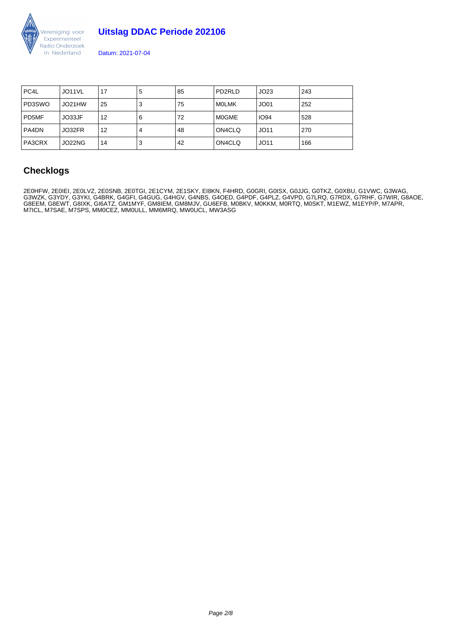

| PC <sub>4</sub> L | JO11VL | 17 | ა  | 85 | PD2RLD       | JO23        | 243 |
|-------------------|--------|----|----|----|--------------|-------------|-----|
| PD3SWO            | JO21HW | 25 | ۰J | 75 | MOLMK        | JO01        | 252 |
| PD5MF             | JO33JF | 12 | 6  | 72 | <b>MOGME</b> | <b>IO94</b> | 528 |
| PA4DN             | JO32FR | 12 | 4  | 48 | ON4CLQ       | JO11        | 270 |
| PA3CRX            | JO22NG | 14 | ۰J | 42 | ON4CLQ       | JO11        | 166 |

### **Checklogs**

2E0HFW, 2E0IEI, 2E0LVZ, 2E0SNB, 2E0TGI, 2E1CYM, 2E1SKY, EI8KN, F4HRD, G0GRI, G0ISX, G0JJG, G0TKZ, G0XBU, G1VWC, G3WAG, G3WZK, G3YDY, G3YKI, G4BRK, G4GFI, G4GUG, G4HGV, G4NBS, G4OED, G4PDF, G4PLZ, G4VPD, G7LRQ, G7RDX, G7RHF, G7WIR, G8AOE, G8EEM, G8EWT, G8IXK, GI6ATZ, GM1MYF, GM8IEM, GM8MJV, GU6EFB, M0BKV, M0KKM, M0RTQ, M0SKT, M1EWZ, M1EYP/P, M7APR, M7ICL, M7SAE, M7SPS, MM0CEZ, MM0ULL, MM6MRQ, MW0UCL, MW3ASG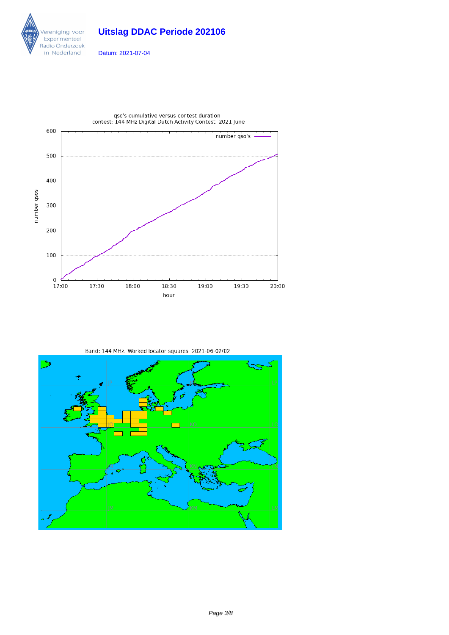





qso's cumulative versus contest duration<br>contest: 144 MHz Digital Dutch Activity Contest 2021 June

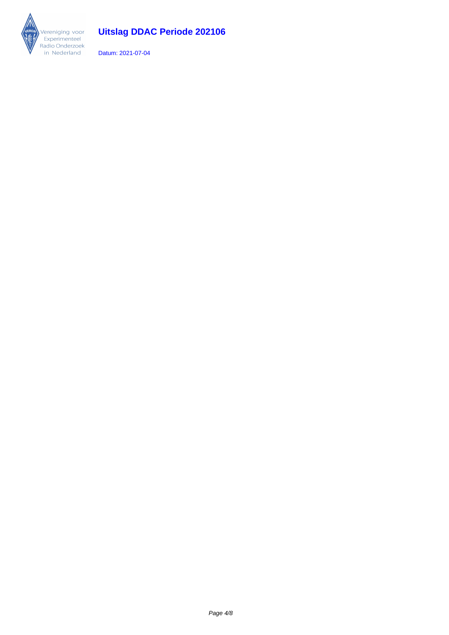

# **Uitslag DDAC Periode 202106**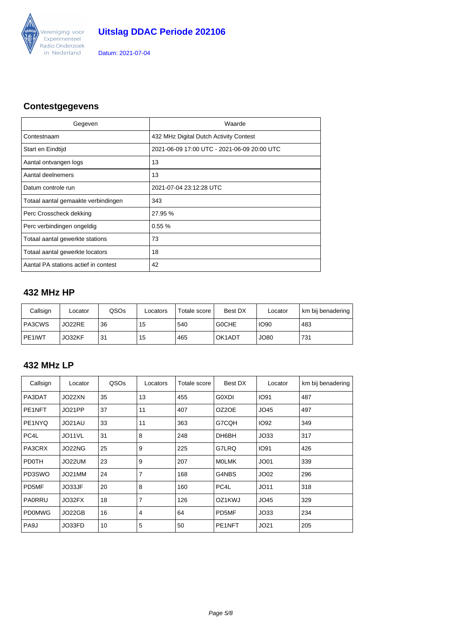

### **Contestgegevens**

| Gegeven                              | Waarde                                      |
|--------------------------------------|---------------------------------------------|
| Contestnaam                          | 432 MHz Digital Dutch Activity Contest      |
| Start en Eindtijd                    | 2021-06-09 17:00 UTC - 2021-06-09 20:00 UTC |
| Aantal ontvangen logs                | 13                                          |
| Aantal deelnemers                    | 13                                          |
| Datum controle run                   | 2021-07-04 23:12:28 UTC                     |
| Totaal aantal gemaakte verbindingen  | 343                                         |
| Perc Crosscheck dekking              | 27.95 %                                     |
| Perc verbindingen ongeldig           | 0.55%                                       |
| Totaal aantal gewerkte stations      | 73                                          |
| Totaal aantal gewerkte locators      | 18                                          |
| Aantal PA stations actief in contest | 42                                          |

### **432 MHz HP**

| Callsign      | Locator | QSOs | Locators | Totale score | Best DX      | Locator     | km bij benadering |
|---------------|---------|------|----------|--------------|--------------|-------------|-------------------|
| <b>PA3CWS</b> | JO22RE  | 36   | 15       | 540          | <b>GOCHE</b> | <b>IO90</b> | 483               |
| l PE1IWT      | JO32KF  | -31  | 15       | 465          | OK1ADT       | JO80        | 731               |

### **432 MHz LP**

| Callsign          | Locator | QSOs | Locators       | Totale score | Best DX | Locator          | km bij benadering |
|-------------------|---------|------|----------------|--------------|---------|------------------|-------------------|
| PA3DAT            | JO22XN  | 35   | 13             | 455          | G0XDI   | <b>IO91</b>      | 487               |
| PE1NFT            | JO21PP  | 37   | 11             | 407          | OZ2OE   | JO45             | 497               |
| PE1NYQ            | JO21AU  | 33   | 11             | 363          | G7CQH   | <b>IO92</b>      | 349               |
| PC <sub>4</sub> L | JO11VL  | 31   | 8              | 248          | DH6BH   | JO33             | 317               |
| PA3CRX            | JO22NG  | 25   | 9              | 225          | G7LRQ   | <b>IO91</b>      | 426               |
| <b>PD0TH</b>      | JO22UM  | 23   | 9              | 207          | MOLMK   | JO01             | 339               |
| PD3SWO            | JO21MM  | 24   | $\overline{7}$ | 168          | G4NBS   | JO <sub>02</sub> | 296               |
| PD5MF             | JO33JF  | 20   | 8              | 160          | PC4L    | JO11             | 318               |
| <b>PA0RRU</b>     | JO32FX  | 18   | $\overline{7}$ | 126          | OZ1KWJ  | JO45             | 329               |
| <b>PD0MWG</b>     | JO22GB  | 16   | 4              | 64           | PD5MF   | JO33             | 234               |
| PA <sub>9</sub> J | JO33FD  | 10   | 5              | 50           | PE1NFT  | JO21             | 205               |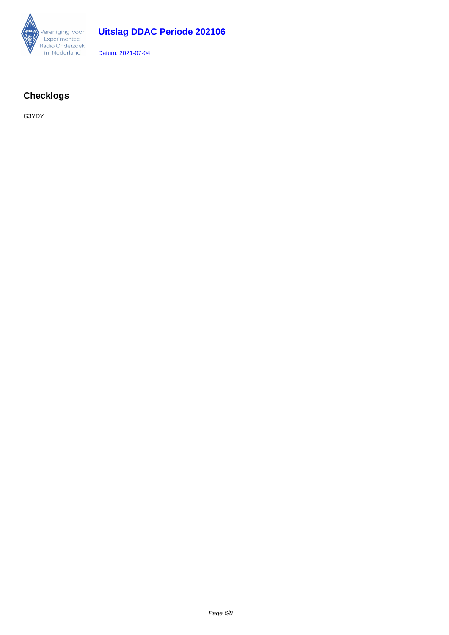

### **Checklogs**

G3YDY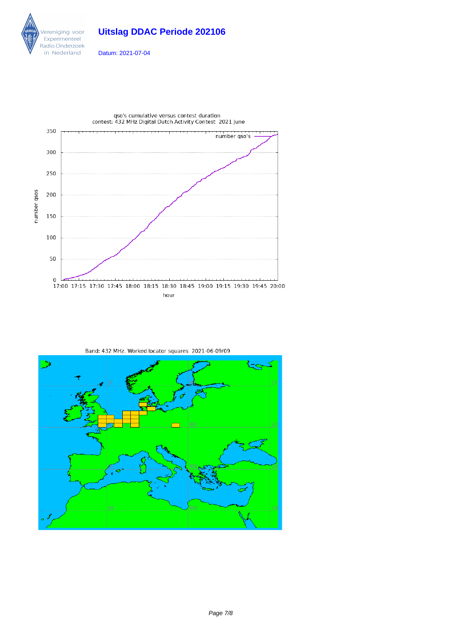